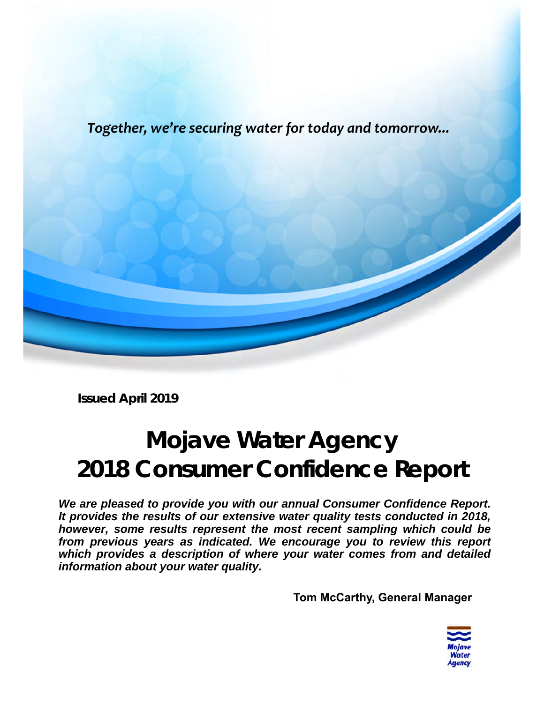*Together, we're securing water for today and tomorrow...* 



**Issued April 2019** 

*We are pleased to provide you with our annual Consumer Confidence Report. It provides the results of our extensive water quality tests conducted in 2018, however, some results represent the most recent sampling which could be from previous years as indicated. We encourage you to review this report which provides a description of where your water comes from and detailed information about your water quality.* 

**Tom McCarthy, General Manager** 

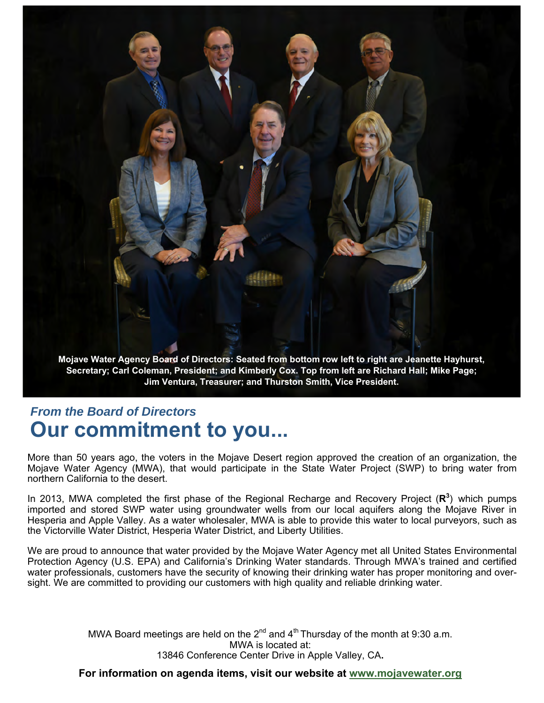

**Jim Ventura, Treasurer; and Thurston Smith, Vice President.** 

## *From the Board of Directors*  **Our commitment to you...**

More than 50 years ago, the voters in the Mojave Desert region approved the creation of an organization, the Mojave Water Agency (MWA), that would participate in the State Water Project (SWP) to bring water from northern California to the desert.

In 2013, MWA completed the first phase of the Regional Recharge and Recovery Project (R<sup>3</sup>) which pumps imported and stored SWP water using groundwater wells from our local aquifers along the Mojave River in Hesperia and Apple Valley. As a water wholesaler, MWA is able to provide this water to local purveyors, such as the Victorville Water District, Hesperia Water District, and Liberty Utilities.

We are proud to announce that water provided by the Mojave Water Agency met all United States Environmental Protection Agency (U.S. EPA) and California's Drinking Water standards. Through MWA's trained and certified water professionals, customers have the security of knowing their drinking water has proper monitoring and oversight. We are committed to providing our customers with high quality and reliable drinking water.

> MWA Board meetings are held on the  $2^{nd}$  and  $4^{th}$  Thursday of the month at 9:30 a.m. MWA is located at: 13846 Conference Center Drive in Apple Valley, CA**.**

**For information on agenda items, visit our website at www.mojavewater.org**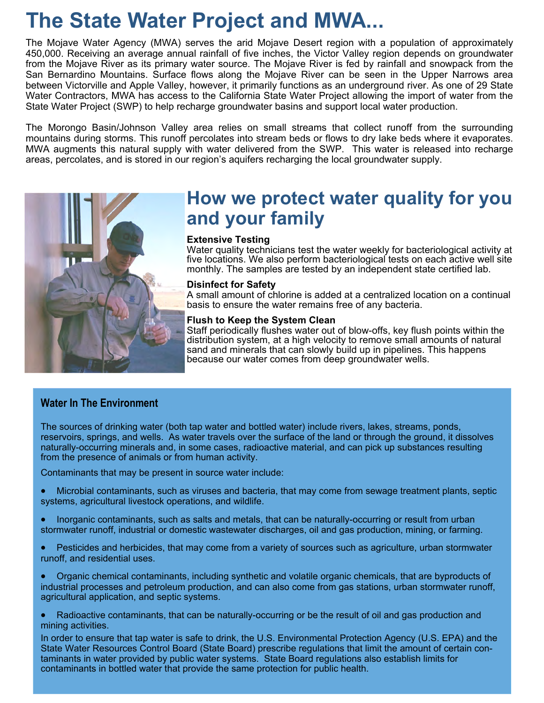# **The State Water Project and MWA...**

The Mojave Water Agency (MWA) serves the arid Mojave Desert region with a population of approximately 450,000. Receiving an average annual rainfall of five inches, the Victor Valley region depends on groundwater from the Mojave River as its primary water source. The Mojave River is fed by rainfall and snowpack from the San Bernardino Mountains. Surface flows along the Mojave River can be seen in the Upper Narrows area between Victorville and Apple Valley, however, it primarily functions as an underground river. As one of 29 State Water Contractors, MWA has access to the California State Water Project allowing the import of water from the State Water Project (SWP) to help recharge groundwater basins and support local water production.

The Morongo Basin/Johnson Valley area relies on small streams that collect runoff from the surrounding mountains during storms. This runoff percolates into stream beds or flows to dry lake beds where it evaporates. MWA augments this natural supply with water delivered from the SWP. This water is released into recharge areas, percolates, and is stored in our region's aquifers recharging the local groundwater supply.



## **How we protect water quality for you and your family**

#### **Extensive Testing**

Water quality technicians test the water weekly for bacteriological activity at five locations. We also perform bacteriological tests on each active well site monthly. The samples are tested by an independent state certified lab.

#### **Disinfect for Safety**

A small amount of chlorine is added at a centralized location on a continual basis to ensure the water remains free of any bacteria.

#### **Flush to Keep the System Clean**

Staff periodically flushes water out of blow-offs, key flush points within the distribution system, at a high velocity to remove small amounts of natural sand and minerals that can slowly build up in pipelines. This happens because our water comes from deep groundwater wells.

#### **Water In The Environment**

The sources of drinking water (both tap water and bottled water) include rivers, lakes, streams, ponds, reservoirs, springs, and wells. As water travels over the surface of the land or through the ground, it dissolves naturally-occurring minerals and, in some cases, radioactive material, and can pick up substances resulting from the presence of animals or from human activity.

Contaminants that may be present in source water include:

- Microbial contaminants, such as viruses and bacteria, that may come from sewage treatment plants, septic systems, agricultural livestock operations, and wildlife.
- Inorganic contaminants, such as salts and metals, that can be naturally-occurring or result from urban stormwater runoff, industrial or domestic wastewater discharges, oil and gas production, mining, or farming.
- Pesticides and herbicides, that may come from a variety of sources such as agriculture, urban stormwater runoff, and residential uses.
- Organic chemical contaminants, including synthetic and volatile organic chemicals, that are byproducts of industrial processes and petroleum production, and can also come from gas stations, urban stormwater runoff, agricultural application, and septic systems.
- Radioactive contaminants, that can be naturally-occurring or be the result of oil and gas production and mining activities.

In order to ensure that tap water is safe to drink, the U.S. Environmental Protection Agency (U.S. EPA) and the State Water Resources Control Board (State Board) prescribe regulations that limit the amount of certain contaminants in water provided by public water systems. State Board regulations also establish limits for contaminants in bottled water that provide the same protection for public health.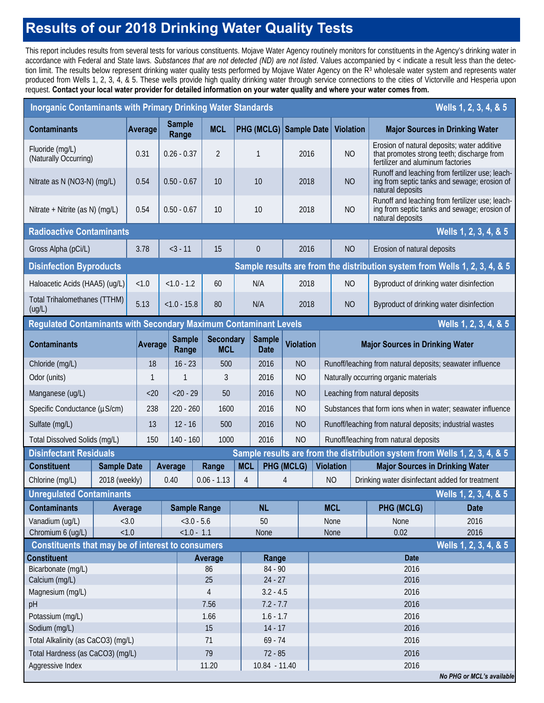## **Results of our 2018 Drinking Water Quality Tests**

This report includes results from several tests for various constituents. Mojave Water Agency routinely monitors for constituents in the Agency's drinking water in accordance with Federal and State laws. *Substances that are not detected (ND) are not listed*. Values accompanied by < indicate a result less than the detection limit. The results below represent drinking water quality tests performed by Mojave Water Agency on the R<sup>3</sup> wholesale water system and represents water produced from Wells 1, 2, 3, 4, & 5. These wells provide high quality drinking water through service connections to the cities of Victorville and Hesperia upon request. **Contact your local water provider for detailed information on your water quality and where your water comes from.**

| <b>Inorganic Contaminants with Primary Drinking Water Standards</b><br>Wells 1, 2, 3, 4, & 5                |                                                          |         |                                          |                        |                               |                                |                          |                                               |                               |           |                                                                            |                                                 |                                                                                                                     |                                                                                                 |
|-------------------------------------------------------------------------------------------------------------|----------------------------------------------------------|---------|------------------------------------------|------------------------|-------------------------------|--------------------------------|--------------------------|-----------------------------------------------|-------------------------------|-----------|----------------------------------------------------------------------------|-------------------------------------------------|---------------------------------------------------------------------------------------------------------------------|-------------------------------------------------------------------------------------------------|
| <b>Contaminants</b>                                                                                         | Average                                                  |         |                                          | <b>Sample</b><br>Range | <b>MCL</b>                    |                                |                          |                                               | <b>PHG (MCLG) Sample Date</b> |           |                                                                            | <b>Violation</b>                                |                                                                                                                     | <b>Major Sources in Drinking Water</b>                                                          |
| Fluoride (mg/L)<br>(Naturally Occurring)                                                                    | 0.31                                                     |         | $0.26 - 0.37$                            | $\overline{2}$         |                               | 1                              |                          | 2016                                          |                               | <b>NO</b> |                                                                            | fertilizer and aluminum factories               | Erosion of natural deposits; water additive<br>that promotes strong teeth; discharge from                           |                                                                                                 |
|                                                                                                             | 0.54<br>Nitrate as N (NO3-N) (mg/L)                      |         |                                          | $0.50 - 0.67$<br>10    |                               |                                | 10                       |                                               |                               | 2018      | N <sub>O</sub>                                                             |                                                 | natural deposits                                                                                                    | Runoff and leaching from fertilizer use; leach-<br>ing from septic tanks and sewage; erosion of |
| Nitrate + Nitrite (as N) (mg/L)                                                                             |                                                          | 0.54    | $0.50 - 0.67$                            |                        | 10                            |                                |                          |                                               | 2018                          |           | <b>NO</b>                                                                  |                                                 | Runoff and leaching from fertilizer use; leach-<br>ing from septic tanks and sewage; erosion of<br>natural deposits |                                                                                                 |
|                                                                                                             | <b>Radioactive Contaminants</b><br>Wells 1, 2, 3, 4, & 5 |         |                                          |                        |                               |                                |                          |                                               |                               |           |                                                                            |                                                 |                                                                                                                     |                                                                                                 |
| Gross Alpha (pCi/L)                                                                                         |                                                          |         | 3.78                                     |                        | 15<br>$<$ 3 - 11              |                                | $\theta$                 |                                               | 2016                          |           | <b>NO</b>                                                                  |                                                 | Erosion of natural deposits                                                                                         |                                                                                                 |
| <b>Disinfection Byproducts</b>                                                                              |                                                          |         |                                          |                        |                               |                                |                          |                                               |                               |           | Sample results are from the distribution system from Wells 1, 2, 3, 4, & 5 |                                                 |                                                                                                                     |                                                                                                 |
| Haloacetic Acids (HAA5) (ug/L)                                                                              |                                                          | < 1.0   |                                          |                        | $< 1.0 - 1.2$<br>60           |                                | N/A                      |                                               | 2018                          |           | <b>NO</b>                                                                  |                                                 | Byproduct of drinking water disinfection                                                                            |                                                                                                 |
| (ug/L)                                                                                                      | <b>Total Trihalomethanes (TTHM)</b>                      |         |                                          |                        | $< 1.0 - 15.8$<br>80          |                                | N/A                      |                                               | 2018                          |           | <b>NO</b>                                                                  |                                                 | Byproduct of drinking water disinfection                                                                            |                                                                                                 |
| Regulated Contaminants with Secondary Maximum Contaminant Levels<br>Wells 1, 2, 3, 4, & 5                   |                                                          |         |                                          |                        |                               |                                |                          |                                               |                               |           |                                                                            |                                                 |                                                                                                                     |                                                                                                 |
| <b>Contaminants</b>                                                                                         |                                                          |         | <b>Sample</b><br><b>Average</b><br>Range |                        |                               | <b>Secondary</b><br><b>MCL</b> |                          | <b>Sample</b><br><b>Date</b>                  | <b>Violation</b>              |           |                                                                            | <b>Major Sources in Drinking Water</b>          |                                                                                                                     |                                                                                                 |
| Chloride (mg/L)                                                                                             |                                                          | 18      |                                          | $16 - 23$              |                               | 500                            |                          | 2016                                          | <b>NO</b>                     |           |                                                                            |                                                 | Runoff/leaching from natural deposits; seawater influence                                                           |                                                                                                 |
| Odor (units)                                                                                                |                                                          |         | 1                                        |                        | 3                             |                                | 2016                     |                                               | <b>NO</b>                     |           |                                                                            | Naturally occurring organic materials           |                                                                                                                     |                                                                                                 |
| Manganese (ug/L)                                                                                            |                                                          |         | $< 20 - 29$<br>$<$ 20                    |                        | 50                            |                                | 2016                     |                                               | <b>NO</b>                     |           | Leaching from natural deposits                                             |                                                 |                                                                                                                     |                                                                                                 |
| Specific Conductance (µS/cm)                                                                                |                                                          |         | 238                                      |                        | 220 - 260<br>1600             |                                | 2016                     |                                               | <b>NO</b>                     |           | Substances that form ions when in water; seawater influence                |                                                 |                                                                                                                     |                                                                                                 |
| Sulfate (mg/L)                                                                                              |                                                          |         | 13                                       |                        | $12 - 16$<br>500              |                                | 2016                     |                                               | <b>NO</b>                     |           | Runoff/leaching from natural deposits; industrial wastes                   |                                                 |                                                                                                                     |                                                                                                 |
| Total Dissolved Solids (mg/L)                                                                               |                                                          |         | 150<br>140 - 160                         |                        | 1000                          |                                | 2016                     |                                               | <b>NO</b>                     |           | Runoff/leaching from natural deposits                                      |                                                 |                                                                                                                     |                                                                                                 |
| Sample results are from the distribution system from Wells 1, 2, 3, 4, & 5<br><b>Disinfectant Residuals</b> |                                                          |         |                                          |                        |                               |                                |                          |                                               |                               |           |                                                                            |                                                 |                                                                                                                     |                                                                                                 |
| <b>Constituent</b>                                                                                          | <b>Sample Date</b>                                       |         | Average                                  |                        | Range                         |                                | <b>MCL</b><br>PHG (MCLG) |                                               |                               |           | <b>Violation</b>                                                           | <b>Major Sources in Drinking Water</b>          |                                                                                                                     |                                                                                                 |
| Chlorine (mg/L)                                                                                             | 2018 (weekly)                                            |         |                                          | 0.40                   | $0.06 - 1.13$                 |                                | 4<br>4                   |                                               |                               |           | <b>NO</b>                                                                  | Drinking water disinfectant added for treatment |                                                                                                                     |                                                                                                 |
| <b>Unregulated Contaminants</b>                                                                             |                                                          |         |                                          |                        |                               |                                |                          |                                               |                               |           |                                                                            |                                                 |                                                                                                                     | Wells 1, 2, 3, 4, & 5                                                                           |
| <b>Contaminants</b>                                                                                         | Average                                                  |         |                                          |                        | <b>Sample Range</b>           | <b>NL</b>                      |                          |                                               |                               |           | <b>MCL</b>                                                                 |                                                 | PHG (MCLG)                                                                                                          | <b>Date</b>                                                                                     |
|                                                                                                             | Vanadium (uq/L)<br><3.0<br>< 1.0                         |         |                                          |                        | $<3.0 - 5.6$<br>$< 1.0 - 1.1$ |                                | 50                       |                                               |                               |           | None                                                                       |                                                 | None                                                                                                                | 2016                                                                                            |
| Chromium 6 (ug/L)<br>Constituents that may be of interest to consumers                                      |                                                          |         |                                          | None                   |                               |                                |                          | 2016<br>0.02<br>None<br>Wells 1, 2, 3, 4, & 5 |                               |           |                                                                            |                                                 |                                                                                                                     |                                                                                                 |
| <b>Constituent</b>                                                                                          |                                                          | Average |                                          | Range                  |                               |                                |                          | <b>Date</b>                                   |                               |           |                                                                            |                                                 |                                                                                                                     |                                                                                                 |
| Bicarbonate (mg/L)                                                                                          |                                                          |         |                                          |                        |                               | 86                             |                          | 84 - 90                                       |                               |           | 2016                                                                       |                                                 |                                                                                                                     |                                                                                                 |
| Calcium (mg/L)                                                                                              |                                                          |         |                                          | 25                     |                               |                                | $24 - 27$                |                                               |                               |           | 2016                                                                       |                                                 |                                                                                                                     |                                                                                                 |
| Magnesium (mg/L)                                                                                            |                                                          |         |                                          |                        | $\sqrt{4}$                    |                                | $3.2 - 4.5$              |                                               |                               |           | 2016                                                                       |                                                 |                                                                                                                     |                                                                                                 |
| pH                                                                                                          |                                                          |         |                                          |                        | 7.56                          |                                | $7.2 - 7.7$              |                                               |                               |           | 2016                                                                       |                                                 |                                                                                                                     |                                                                                                 |
| Potassium (mg/L)                                                                                            |                                                          |         |                                          |                        | 1.66                          |                                | $1.6 - 1.7$              |                                               |                               |           | 2016                                                                       |                                                 |                                                                                                                     |                                                                                                 |
| Sodium (mg/L)<br>Total Alkalinity (as CaCO3) (mg/L)                                                         |                                                          |         |                                          |                        | 15<br>71                      |                                | $14 - 17$<br>$69 - 74$   |                                               |                               |           | 2016<br>2016                                                               |                                                 |                                                                                                                     |                                                                                                 |
| Total Hardness (as CaCO3) (mg/L)                                                                            |                                                          |         |                                          |                        | 79                            |                                | $72 - 85$                |                                               |                               |           | 2016                                                                       |                                                 |                                                                                                                     |                                                                                                 |
| Aggressive Index                                                                                            |                                                          |         |                                          |                        | 11.20                         |                                |                          | 10.84 - 11.40                                 |                               |           |                                                                            |                                                 | 2016                                                                                                                |                                                                                                 |
| No PHG or MCL's available                                                                                   |                                                          |         |                                          |                        |                               |                                |                          |                                               |                               |           |                                                                            |                                                 |                                                                                                                     |                                                                                                 |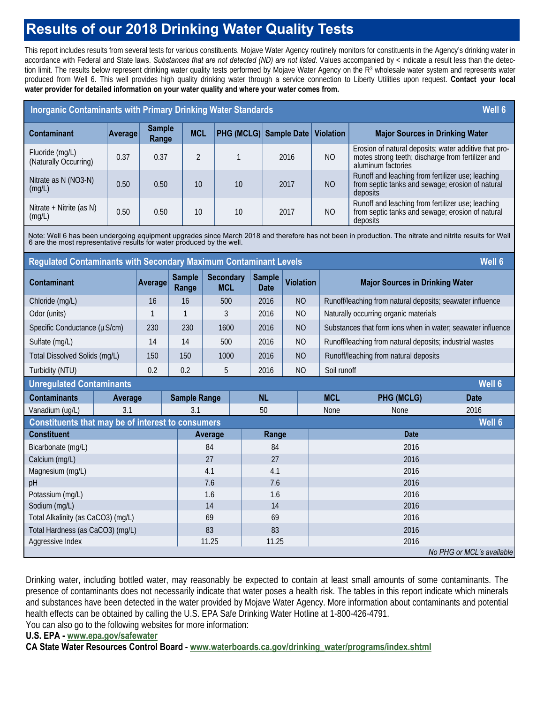## **Results of our 2018 Drinking Water Quality Tests**

This report includes results from several tests for various constituents. Mojave Water Agency routinely monitors for constituents in the Agency's drinking water in accordance with Federal and State laws. *Substances that are not detected (ND) are not listed*. Values accompanied by < indicate a result less than the detection limit. The results below represent drinking water quality tests performed by Mojave Water Agency on the R<sup>3</sup> wholesale water system and represents water produced from Well 6. This well provides high quality drinking water through a service connection to Liberty Utilities upon request. **Contact your local water provider for detailed information on your water quality and where your water comes from.** 

| <b>Inorganic Contaminants with Primary Drinking Water Standards</b><br>Well 6                                                                                                                                                    |                |                        |                                |                     |                              |                  |                |                                                             |                                                                                                                                  |             |  |  |  |
|----------------------------------------------------------------------------------------------------------------------------------------------------------------------------------------------------------------------------------|----------------|------------------------|--------------------------------|---------------------|------------------------------|------------------|----------------|-------------------------------------------------------------|----------------------------------------------------------------------------------------------------------------------------------|-------------|--|--|--|
| <b>Contaminant</b>                                                                                                                                                                                                               | <b>Average</b> | <b>Sample</b><br>Range |                                | <b>MCL</b>          | PHG (MCLG) Sample Date       |                  |                | <b>Violation</b>                                            | <b>Major Sources in Drinking Water</b>                                                                                           |             |  |  |  |
| Fluoride (mg/L)<br>(Naturally Occurring)                                                                                                                                                                                         | 0.37           | 0.37                   | $\overline{2}$                 |                     | $\mathbf{1}$                 |                  | 2016           | N <sub>O</sub>                                              | Erosion of natural deposits; water additive that pro-<br>motes strong teeth; discharge from fertilizer and<br>aluminum factories |             |  |  |  |
| Nitrate as N (NO3-N)<br>(mg/L)                                                                                                                                                                                                   | 0.50           | 0.50                   | 10                             |                     | 10                           |                  | 2017           | <b>NO</b>                                                   | Runoff and leaching from fertilizer use; leaching<br>from septic tanks and sewage; erosion of natural<br>deposits                |             |  |  |  |
| Nitrate + Nitrite (as N)<br>(mg/L)                                                                                                                                                                                               | 0.50           | 0.50                   | 10                             |                     | 10                           |                  | 2017           | NO                                                          | Runoff and leaching from fertilizer use; leaching<br>from septic tanks and sewage; erosion of natural<br>deposits                |             |  |  |  |
| Note: Well 6 has been undergoing equipment upgrades since March 2018 and therefore has not been in production. The nitrate and nitrite results for Well<br>6 are the most representative results for water produced by the well. |                |                        |                                |                     |                              |                  |                |                                                             |                                                                                                                                  |             |  |  |  |
| <b>Regulated Contaminants with Secondary Maximum Contaminant Levels</b><br>Well 6                                                                                                                                                |                |                        |                                |                     |                              |                  |                |                                                             |                                                                                                                                  |             |  |  |  |
| <b>Contaminant</b>                                                                                                                                                                                                               | Average        | <b>Sample</b><br>Range | <b>Secondary</b><br><b>MCL</b> |                     | <b>Sample</b><br><b>Date</b> | <b>Violation</b> |                | <b>Major Sources in Drinking Water</b>                      |                                                                                                                                  |             |  |  |  |
| Chloride (mg/L)                                                                                                                                                                                                                  | 16             | 16                     | 500                            | 2016                |                              | N <sub>O</sub>   |                | Runoff/leaching from natural deposits; seawater influence   |                                                                                                                                  |             |  |  |  |
| Odor (units)                                                                                                                                                                                                                     | $\mathbf{1}$   | $\mathbf{1}$           | 3                              | 2016                |                              | <b>NO</b>        |                | Naturally occurring organic materials                       |                                                                                                                                  |             |  |  |  |
| Specific Conductance (µS/cm)                                                                                                                                                                                                     | 230            | 230                    | 1600                           |                     | 2016                         | <b>NO</b>        |                | Substances that form ions when in water; seawater influence |                                                                                                                                  |             |  |  |  |
| Sulfate (mg/L)                                                                                                                                                                                                                   | 14             | 14                     | 500                            |                     | 2016                         | <b>NO</b>        |                | Runoff/leaching from natural deposits; industrial wastes    |                                                                                                                                  |             |  |  |  |
| Total Dissolved Solids (mg/L)                                                                                                                                                                                                    | 150            | 150                    | 1000                           |                     | 2016                         | N <sub>O</sub>   |                | Runoff/leaching from natural deposits                       |                                                                                                                                  |             |  |  |  |
| Turbidity (NTU)                                                                                                                                                                                                                  |                | 0.2                    | 0.2                            | 5                   |                              | 2016             | N <sub>O</sub> |                                                             | Soil runoff                                                                                                                      |             |  |  |  |
| Well 6<br><b>Unregulated Contaminants</b>                                                                                                                                                                                        |                |                        |                                |                     |                              |                  |                |                                                             |                                                                                                                                  |             |  |  |  |
| <b>Contaminants</b>                                                                                                                                                                                                              | Average        |                        |                                | <b>Sample Range</b> |                              | <b>NL</b>        |                | <b>MCL</b>                                                  | <b>PHG (MCLG)</b>                                                                                                                | <b>Date</b> |  |  |  |
| Vanadium (ug/L)                                                                                                                                                                                                                  |                | 3.1                    |                                |                     | 50                           | <b>None</b>      |                | <b>None</b>                                                 | 2016                                                                                                                             |             |  |  |  |
| Constituents that may be of interest to consumers<br><b>Well 6</b>                                                                                                                                                               |                |                        |                                |                     |                              |                  |                |                                                             |                                                                                                                                  |             |  |  |  |
| <b>Constituent</b>                                                                                                                                                                                                               |                | Average                |                                |                     | Range                        |                  | <b>Date</b>    |                                                             |                                                                                                                                  |             |  |  |  |
| Bicarbonate (mg/L)                                                                                                                                                                                                               |                | 84                     |                                |                     |                              |                  | 2016           |                                                             |                                                                                                                                  |             |  |  |  |
| Calcium (mg/L)                                                                                                                                                                                                                   |                | 27                     |                                | 27                  |                              |                  | 2016           |                                                             |                                                                                                                                  |             |  |  |  |
| Magnesium (mg/L)                                                                                                                                                                                                                 |                |                        |                                | 4.1                 |                              |                  |                |                                                             | 2016                                                                                                                             |             |  |  |  |
| pH                                                                                                                                                                                                                               |                |                        |                                | 7.6                 |                              | 7.6              |                |                                                             | 2016                                                                                                                             |             |  |  |  |
| Potassium (mg/L)                                                                                                                                                                                                                 |                |                        |                                | 1.6                 |                              | 1.6              |                |                                                             | 2016                                                                                                                             |             |  |  |  |
| Sodium (mg/L)<br>Total Alkalinity (as CaCO3) (mg/L)                                                                                                                                                                              |                |                        |                                | 14<br>69            |                              | 14<br>69         |                |                                                             | 2016<br>2016                                                                                                                     |             |  |  |  |
| Total Hardness (as CaCO3) (mg/L)                                                                                                                                                                                                 |                |                        |                                | 83                  |                              | 83               |                |                                                             | 2016                                                                                                                             |             |  |  |  |
| Aggressive Index                                                                                                                                                                                                                 |                | 11.25                  |                                |                     |                              |                  | 2016           |                                                             |                                                                                                                                  |             |  |  |  |
| 11.25<br>No PHG or MCL's available                                                                                                                                                                                               |                |                        |                                |                     |                              |                  |                |                                                             |                                                                                                                                  |             |  |  |  |

Drinking water, including bottled water, may reasonably be expected to contain at least small amounts of some contaminants. The presence of contaminants does not necessarily indicate that water poses a health risk. The tables in this report indicate which minerals and substances have been detected in the water provided by Mojave Water Agency. More information about contaminants and potential health effects can be obtained by calling the U.S. EPA Safe Drinking Water Hotline at 1-800-426-4791. You can also go to the following websites for more information:

#### **U.S. EPA - www.epa.gov/safewater**

**CA State Water Resources Control Board - www.waterboards.ca.gov/drinking\_water/programs/index.shtml**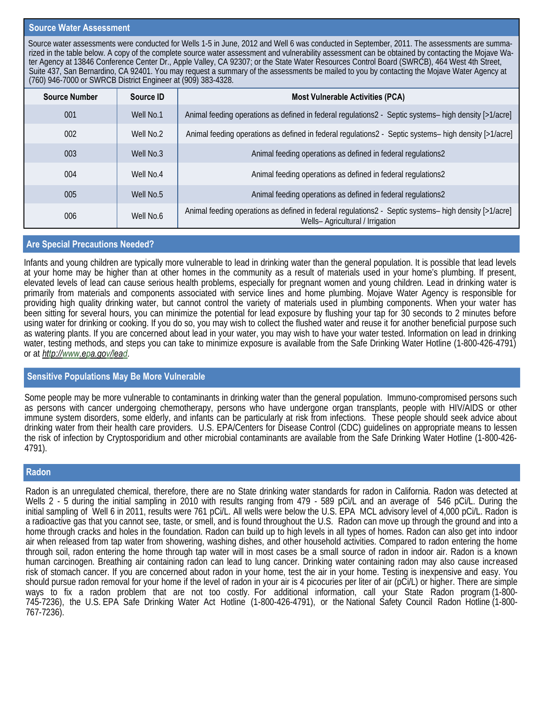#### **Source Water Assessment**

Source water assessments were conducted for Wells 1-5 in June, 2012 and Well 6 was conducted in September, 2011. The assessments are summarized in the table below. A copy of the complete source water assessment and vulnerability assessment can be obtained by contacting the Mojave Water Agency at 13846 Conference Center Dr., Apple Valley, CA 92307; or the State Water Resources Control Board (SWRCB), 464 West 4th Street, Suite 437, San Bernardino, CA 92401. You may request a summary of the assessments be mailed to you by contacting the Mojave Water Agency at (760) 946-7000 or SWRCB District Engineer at (909) 383-4328.

| <b>Source Number</b> | Source ID | <b>Most Vulnerable Activities (PCA)</b>                                                                                                   |
|----------------------|-----------|-------------------------------------------------------------------------------------------------------------------------------------------|
| 001                  | Well No.1 | Animal feeding operations as defined in federal regulations2 - Septic systems- high density [>1/acre]                                     |
| 002                  | Well No.2 | Animal feeding operations as defined in federal regulations2 - Septic systems- high density [>1/acre]                                     |
| 003                  | Well No.3 | Animal feeding operations as defined in federal regulations2                                                                              |
| 004                  | Well No.4 | Animal feeding operations as defined in federal regulations2                                                                              |
| 005                  | Well No.5 | Animal feeding operations as defined in federal regulations2                                                                              |
| 006                  | Well No.6 | Animal feeding operations as defined in federal regulations2 - Septic systems- high density [>1/acre]<br>Wells- Agricultural / Irrigation |

#### **Are Special Precautions Needed?**

Infants and young children are typically more vulnerable to lead in drinking water than the general population. It is possible that lead levels at your home may be higher than at other homes in the community as a result of materials used in your home's plumbing. If present, elevated levels of lead can cause serious health problems, especially for pregnant women and young children. Lead in drinking water is primarily from materials and components associated with service lines and home plumbing. Mojave Water Agency is responsible for providing high quality drinking water, but cannot control the variety of materials used in plumbing components. When your water has been sitting for several hours, you can minimize the potential for lead exposure by flushing your tap for 30 seconds to 2 minutes before using water for drinking or cooking. If you do so, you may wish to collect the flushed water and reuse it for another beneficial purpose such as watering plants. If you are concerned about lead in your water, you may wish to have your water tested. Information on lead in drinking water, testing methods, and steps you can take to minimize exposure is available from the Safe Drinking Water Hotline (1-800-426-4791) or at *http://www.epa.gov/lead.*

#### **Sensitive Populations May Be More Vulnerable**

Some people may be more vulnerable to contaminants in drinking water than the general population. Immuno-compromised persons such as persons with cancer undergoing chemotherapy, persons who have undergone organ transplants, people with HIV/AIDS or other immune system disorders, some elderly, and infants can be particularly at risk from infections. These people should seek advice about drinking water from their health care providers. U.S. EPA/Centers for Disease Control (CDC) guidelines on appropriate means to lessen the risk of infection by Cryptosporidium and other microbial contaminants are available from the Safe Drinking Water Hotline (1-800-426- 4791).

#### **Radon**

Radon is an unregulated chemical, therefore, there are no State drinking water standards for radon in California. Radon was detected at Wells 2 - 5 during the initial sampling in 2010 with results ranging from 479 - 589 pCi/L and an average of 546 pCi/L. During the initial sampling of Well 6 in 2011, results were 761 pCi/L. All wells were below the U.S. EPA MCL advisory level of 4,000 pCi/L. Radon is a radioactive gas that you cannot see, taste, or smell, and is found throughout the U.S. Radon can move up through the ground and into a home through cracks and holes in the foundation. Radon can build up to high levels in all types of homes. Radon can also get into indoor air when released from tap water from showering, washing dishes, and other household activities. Compared to radon entering the home through soil, radon entering the home through tap water will in most cases be a small source of radon in indoor air. Radon is a known human carcinogen. Breathing air containing radon can lead to lung cancer. Drinking water containing radon may also cause increased risk of stomach cancer. If you are concerned about radon in your home, test the air in your home. Testing is inexpensive and easy. You should pursue radon removal for your home if the level of radon in your air is 4 picocuries per liter of air (pCi/L) or higher. There are simple ways to fix a radon problem that are not too costly. For additional information, call your State Radon program (1-800- 745-7236), the U.S. EPA Safe Drinking Water Act Hotline (1-800-426-4791), or the National Safety Council Radon Hotline (1-800- 767-7236).